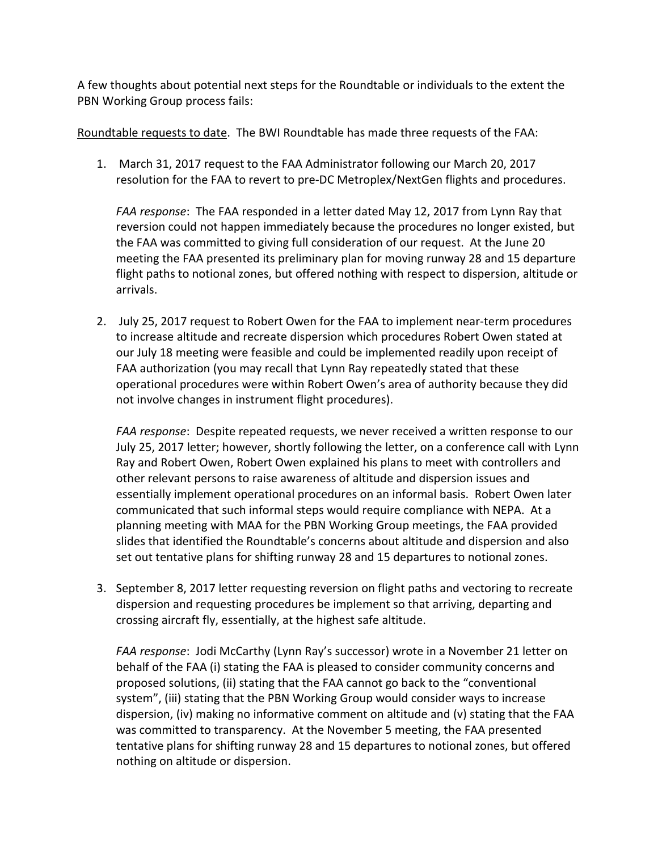A few thoughts about potential next steps for the Roundtable or individuals to the extent the PBN Working Group process fails:

Roundtable requests to date. The BWI Roundtable has made three requests of the FAA:

1. March 31, 2017 request to the FAA Administrator following our March 20, 2017 resolution for the FAA to revert to pre-DC Metroplex/NextGen flights and procedures.

*FAA response*: The FAA responded in a letter dated May 12, 2017 from Lynn Ray that reversion could not happen immediately because the procedures no longer existed, but the FAA was committed to giving full consideration of our request. At the June 20 meeting the FAA presented its preliminary plan for moving runway 28 and 15 departure flight paths to notional zones, but offered nothing with respect to dispersion, altitude or arrivals.

2. July 25, 2017 request to Robert Owen for the FAA to implement near-term procedures to increase altitude and recreate dispersion which procedures Robert Owen stated at our July 18 meeting were feasible and could be implemented readily upon receipt of FAA authorization (you may recall that Lynn Ray repeatedly stated that these operational procedures were within Robert Owen's area of authority because they did not involve changes in instrument flight procedures).

*FAA response*: Despite repeated requests, we never received a written response to our July 25, 2017 letter; however, shortly following the letter, on a conference call with Lynn Ray and Robert Owen, Robert Owen explained his plans to meet with controllers and other relevant persons to raise awareness of altitude and dispersion issues and essentially implement operational procedures on an informal basis. Robert Owen later communicated that such informal steps would require compliance with NEPA. At a planning meeting with MAA for the PBN Working Group meetings, the FAA provided slides that identified the Roundtable's concerns about altitude and dispersion and also set out tentative plans for shifting runway 28 and 15 departures to notional zones.

3. September 8, 2017 letter requesting reversion on flight paths and vectoring to recreate dispersion and requesting procedures be implement so that arriving, departing and crossing aircraft fly, essentially, at the highest safe altitude.

*FAA response*: Jodi McCarthy (Lynn Ray's successor) wrote in a November 21 letter on behalf of the FAA (i) stating the FAA is pleased to consider community concerns and proposed solutions, (ii) stating that the FAA cannot go back to the "conventional system", (iii) stating that the PBN Working Group would consider ways to increase dispersion, (iv) making no informative comment on altitude and (v) stating that the FAA was committed to transparency. At the November 5 meeting, the FAA presented tentative plans for shifting runway 28 and 15 departures to notional zones, but offered nothing on altitude or dispersion.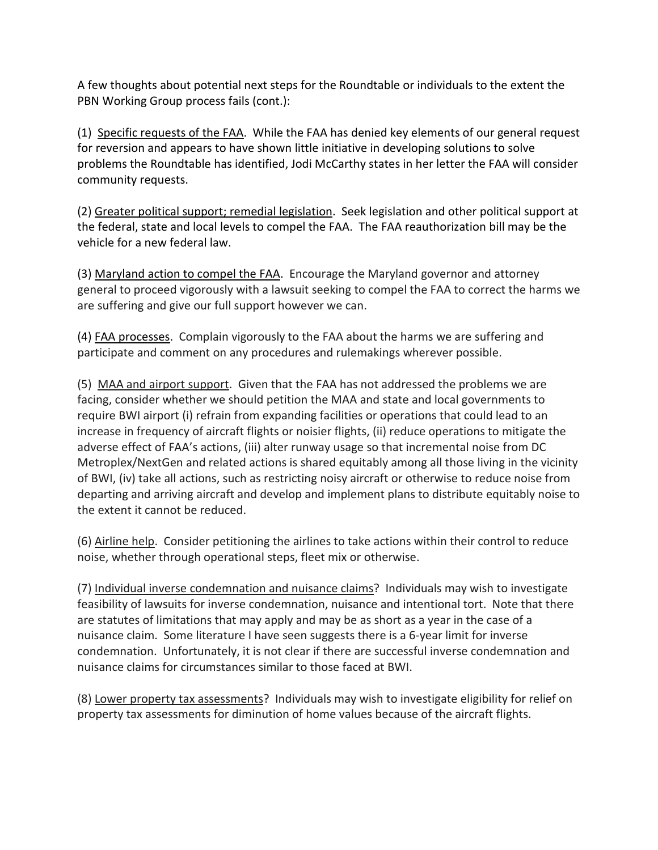A few thoughts about potential next steps for the Roundtable or individuals to the extent the PBN Working Group process fails (cont.):

(1) Specific requests of the FAA. While the FAA has denied key elements of our general request for reversion and appears to have shown little initiative in developing solutions to solve problems the Roundtable has identified, Jodi McCarthy states in her letter the FAA will consider community requests.

(2) Greater political support; remedial legislation. Seek legislation and other political support at the federal, state and local levels to compel the FAA. The FAA reauthorization bill may be the vehicle for a new federal law.

(3) Maryland action to compel the FAA. Encourage the Maryland governor and attorney general to proceed vigorously with a lawsuit seeking to compel the FAA to correct the harms we are suffering and give our full support however we can.

(4) FAA processes. Complain vigorously to the FAA about the harms we are suffering and participate and comment on any procedures and rulemakings wherever possible.

(5) MAA and airport support. Given that the FAA has not addressed the problems we are facing, consider whether we should petition the MAA and state and local governments to require BWI airport (i) refrain from expanding facilities or operations that could lead to an increase in frequency of aircraft flights or noisier flights, (ii) reduce operations to mitigate the adverse effect of FAA's actions, (iii) alter runway usage so that incremental noise from DC Metroplex/NextGen and related actions is shared equitably among all those living in the vicinity of BWI, (iv) take all actions, such as restricting noisy aircraft or otherwise to reduce noise from departing and arriving aircraft and develop and implement plans to distribute equitably noise to the extent it cannot be reduced.

(6) Airline help. Consider petitioning the airlines to take actions within their control to reduce noise, whether through operational steps, fleet mix or otherwise.

(7) Individual inverse condemnation and nuisance claims? Individuals may wish to investigate feasibility of lawsuits for inverse condemnation, nuisance and intentional tort. Note that there are statutes of limitations that may apply and may be as short as a year in the case of a nuisance claim. Some literature I have seen suggests there is a 6-year limit for inverse condemnation. Unfortunately, it is not clear if there are successful inverse condemnation and nuisance claims for circumstances similar to those faced at BWI.

(8) Lower property tax assessments? Individuals may wish to investigate eligibility for relief on property tax assessments for diminution of home values because of the aircraft flights.